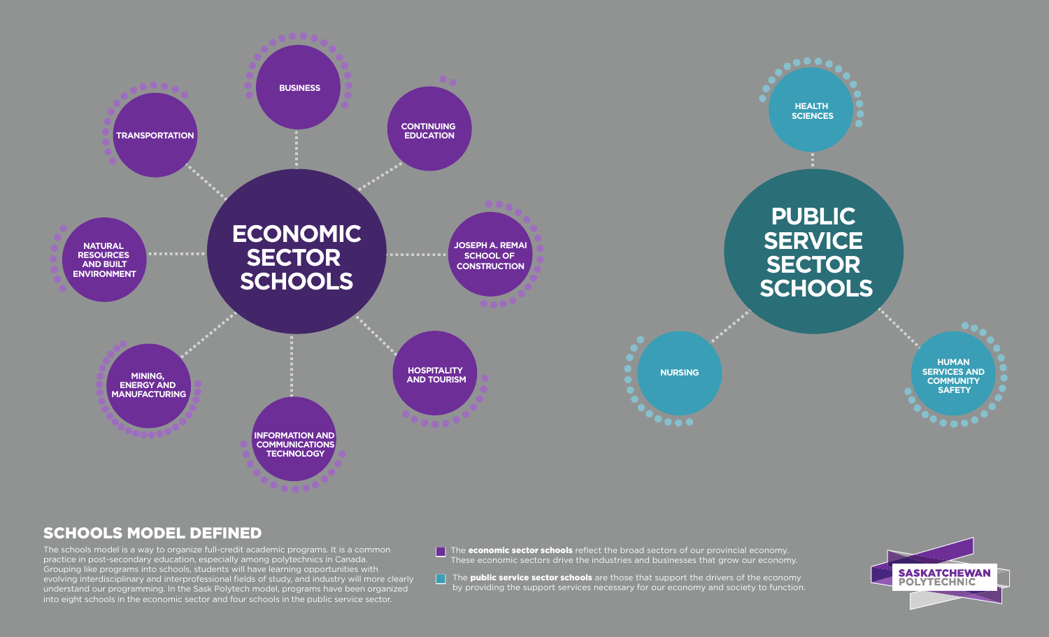

## SCHOOLS MODEL DEFINED

The schools model is a way to organize full-credit academic programs. It is a common practice in post-secondary education, especially among polytechnics in Canada. Grouping like programs into schools, students will have learning opportunities with evolving interdisciplinary and interprofessional fields of study, and industry will more clearly understand our programming. In the Sask Polytech model, programs have been organized into eight schools in the economic sector and four schools in the public service sector.

 $\Box$  The **economic sector schools** reflect the broad sectors of our provincial economy. These economic sectors drive the industries and businesses that grow our economy.

The public service sector schools are those that support the drivers of the economy by providing the support services necessary for our economy and society to function.